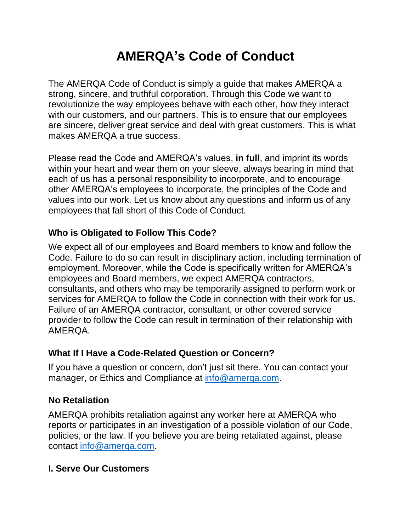# **AMERQA's Code of Conduct**

The AMERQA Code of Conduct is simply a guide that makes AMERQA a strong, sincere, and truthful corporation. Through this Code we want to revolutionize the way employees behave with each other, how they interact with our customers, and our partners. This is to ensure that our employees are sincere, deliver great service and deal with great customers. This is what makes AMERQA a true success.

Please read the Code and AMERQA's values, **in full**, and imprint its words within your heart and wear them on your sleeve, always bearing in mind that each of us has a personal responsibility to incorporate, and to encourage other AMERQA's employees to incorporate, the principles of the Code and values into our work. Let us know about any questions and inform us of any employees that fall short of this Code of Conduct.

#### **Who is Obligated to Follow This Code?**

We expect all of our employees and Board members to know and follow the Code. Failure to do so can result in disciplinary action, including termination of employment. Moreover, while the Code is specifically written for AMERQA's employees and Board members, we expect AMERQA contractors, consultants, and others who may be temporarily assigned to perform work or services for AMERQA to follow the Code in connection with their work for us. Failure of an AMERQA contractor, consultant, or other covered service provider to follow the Code can result in termination of their relationship with AMERQA.

#### **What If I Have a Code-Related Question or Concern?**

If you have a question or concern, don't just sit there. You can contact your manager, or Ethics and Compliance at [info@amerqa.com.](mailto:info@amerqa.com)

#### **No Retaliation**

AMERQA prohibits retaliation against any worker here at AMERQA who reports or participates in an investigation of a possible violation of our Code, policies, or the law. If you believe you are being retaliated against, please contact [info@amerqa.com.](mailto:info@amerqa.com)

#### **I. Serve Our Customers**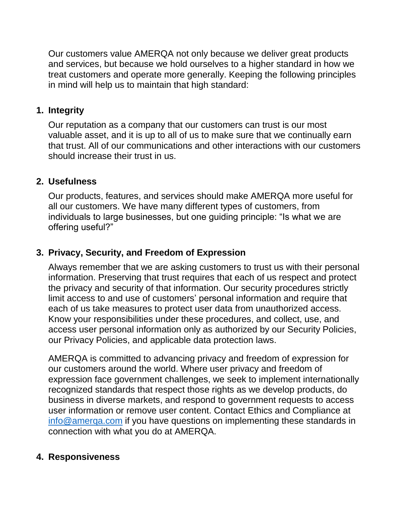Our customers value AMERQA not only because we deliver great products and services, but because we hold ourselves to a higher standard in how we treat customers and operate more generally. Keeping the following principles in mind will help us to maintain that high standard:

#### **1. Integrity**

Our reputation as a company that our customers can trust is our most valuable asset, and it is up to all of us to make sure that we continually earn that trust. All of our communications and other interactions with our customers should increase their trust in us.

#### **2. Usefulness**

Our products, features, and services should make AMERQA more useful for all our customers. We have many different types of customers, from individuals to large businesses, but one guiding principle: "Is what we are offering useful?"

## **3. Privacy, Security, and Freedom of Expression**

Always remember that we are asking customers to trust us with their personal information. Preserving that trust requires that each of us respect and protect the privacy and security of that information. Our security procedures strictly limit access to and use of customers' personal information and require that each of us take measures to protect user data from unauthorized access. Know your responsibilities under these procedures, and collect, use, and access user personal information only as authorized by our Security Policies, our Privacy Policies, and applicable data protection laws.

AMERQA is committed to advancing privacy and freedom of expression for our customers around the world. Where user privacy and freedom of expression face government challenges, we seek to implement internationally recognized standards that respect those rights as we develop products, do business in diverse markets, and respond to government requests to access user information or remove user content. Contact Ethics and Compliance at [info@amerqa.com](mailto:info@amerqa.com) if you have questions on implementing these standards in connection with what you do at AMERQA.

#### **4. Responsiveness**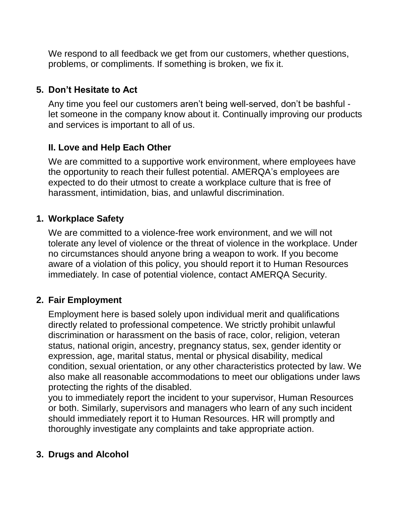We respond to all feedback we get from our customers, whether questions, problems, or compliments. If something is broken, we fix it.

#### **5. Don't Hesitate to Act**

Any time you feel our customers aren't being well-served, don't be bashful let someone in the company know about it. Continually improving our products and services is important to all of us.

# **II. Love and Help Each Other**

We are committed to a supportive work environment, where employees have the opportunity to reach their fullest potential. AMERQA's employees are expected to do their utmost to create a workplace culture that is free of harassment, intimidation, bias, and unlawful discrimination.

## **1. Workplace Safety**

We are committed to a violence-free work environment, and we will not tolerate any level of violence or the threat of violence in the workplace. Under no circumstances should anyone bring a weapon to work. If you become aware of a violation of this policy, you should report it to Human Resources immediately. In case of potential violence, contact AMERQA Security.

#### **2. Fair Employment**

Employment here is based solely upon individual merit and qualifications directly related to professional competence. We strictly prohibit unlawful discrimination or harassment on the basis of race, color, religion, veteran status, national origin, ancestry, pregnancy status, sex, gender identity or expression, age, marital status, mental or physical disability, medical condition, sexual orientation, or any other characteristics protected by law. We also make all reasonable accommodations to meet our obligations under laws protecting the rights of the disabled.

you to immediately report the incident to your supervisor, Human Resources or both. Similarly, supervisors and managers who learn of any such incident should immediately report it to Human Resources. HR will promptly and thoroughly investigate any complaints and take appropriate action.

# **3. Drugs and Alcohol**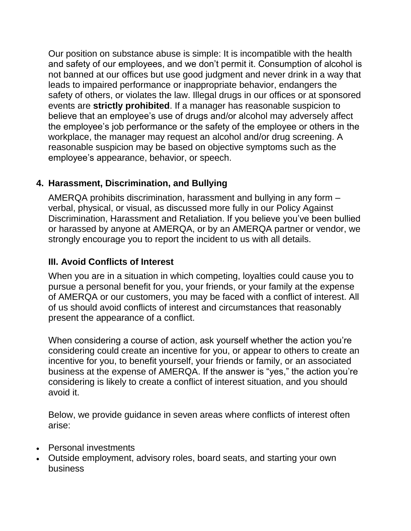Our position on substance abuse is simple: It is incompatible with the health and safety of our employees, and we don't permit it. Consumption of alcohol is not banned at our offices but use good judgment and never drink in a way that leads to impaired performance or inappropriate behavior, endangers the safety of others, or violates the law. Illegal drugs in our offices or at sponsored events are **strictly prohibited**. If a manager has reasonable suspicion to believe that an employee's use of drugs and/or alcohol may adversely affect the employee's job performance or the safety of the employee or others in the workplace, the manager may request an alcohol and/or drug screening. A reasonable suspicion may be based on objective symptoms such as the employee's appearance, behavior, or speech.

## **4. Harassment, Discrimination, and Bullying**

AMERQA prohibits discrimination, harassment and bullying in any form – verbal, physical, or visual, as discussed more fully in our Policy Against Discrimination, Harassment and Retaliation. If you believe you've been bullied or harassed by anyone at AMERQA, or by an AMERQA partner or vendor, we strongly encourage you to report the incident to us with all details.

#### **III. Avoid Conflicts of Interest**

When you are in a situation in which competing, loyalties could cause you to pursue a personal benefit for you, your friends, or your family at the expense of AMERQA or our customers, you may be faced with a conflict of interest. All of us should avoid conflicts of interest and circumstances that reasonably present the appearance of a conflict.

When considering a course of action, ask yourself whether the action you're considering could create an incentive for you, or appear to others to create an incentive for you, to benefit yourself, your friends or family, or an associated business at the expense of AMERQA. If the answer is "yes," the action you're considering is likely to create a conflict of interest situation, and you should avoid it.

Below, we provide guidance in seven areas where conflicts of interest often arise:

- Personal investments
- Outside employment, advisory roles, board seats, and starting your own business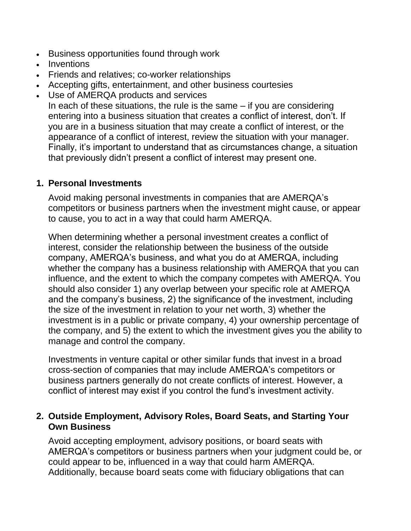- Business opportunities found through work
- Inventions
- Friends and relatives; co-worker relationships
- Accepting gifts, entertainment, and other business courtesies
- Use of AMERQA products and services In each of these situations, the rule is the same  $-$  if you are considering entering into a business situation that creates a conflict of interest, don't. If you are in a business situation that may create a conflict of interest, or the appearance of a conflict of interest, review the situation with your manager. Finally, it's important to understand that as circumstances change, a situation that previously didn't present a conflict of interest may present one.

#### **1. Personal Investments**

Avoid making personal investments in companies that are AMERQA's competitors or business partners when the investment might cause, or appear to cause, you to act in a way that could harm AMERQA.

When determining whether a personal investment creates a conflict of interest, consider the relationship between the business of the outside company, AMERQA's business, and what you do at AMERQA, including whether the company has a business relationship with AMERQA that you can influence, and the extent to which the company competes with AMERQA. You should also consider 1) any overlap between your specific role at AMERQA and the company's business, 2) the significance of the investment, including the size of the investment in relation to your net worth, 3) whether the investment is in a public or private company, 4) your ownership percentage of the company, and 5) the extent to which the investment gives you the ability to manage and control the company.

Investments in venture capital or other similar funds that invest in a broad cross-section of companies that may include AMERQA's competitors or business partners generally do not create conflicts of interest. However, a conflict of interest may exist if you control the fund's investment activity.

#### **2. Outside Employment, Advisory Roles, Board Seats, and Starting Your Own Business**

Avoid accepting employment, advisory positions, or board seats with AMERQA's competitors or business partners when your judgment could be, or could appear to be, influenced in a way that could harm AMERQA. Additionally, because board seats come with fiduciary obligations that can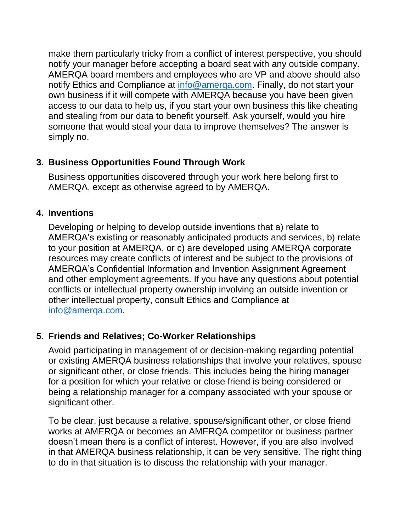make them particularly tricky from a conflict of interest perspective, you should notify your manager before accepting a board seat with any outside company. AMERQA board members and employees who are VP and above should also notify Ethics and Compliance at [info@amerqa.com.](mailto:info@amerqa.com) Finally, do not start your own business if it will compete with AMERQA because you have been given access to our data to help us, if you start your own business this like cheating and stealing from our data to benefit yourself. Ask yourself, would you hire someone that would steal your data to improve themselves? The answer is simply no.

## **3. Business Opportunities Found Through Work**

Business opportunities discovered through your work here belong first to AMERQA, except as otherwise agreed to by AMERQA.

## **4. Inventions**

Developing or helping to develop outside inventions that a) relate to AMERQA's existing or reasonably anticipated products and services, b) relate to your position at AMERQA, or c) are developed using AMERQA corporate resources may create conflicts of interest and be subject to the provisions of AMERQA's Confidential Information and Invention Assignment Agreement and other employment agreements. If you have any questions about potential conflicts or intellectual property ownership involving an outside invention or other intellectual property, consult Ethics and Compliance at [info@amerqa.com.](mailto:info@amerqa.com)

# **5. Friends and Relatives; Co-Worker Relationships**

Avoid participating in management of or decision-making regarding potential or existing AMERQA business relationships that involve your relatives, spouse or significant other, or close friends. This includes being the hiring manager for a position for which your relative or close friend is being considered or being a relationship manager for a company associated with your spouse or significant other.

To be clear, just because a relative, spouse/significant other, or close friend works at AMERQA or becomes an AMERQA competitor or business partner doesn't mean there is a conflict of interest. However, if you are also involved in that AMERQA business relationship, it can be very sensitive. The right thing to do in that situation is to discuss the relationship with your manager.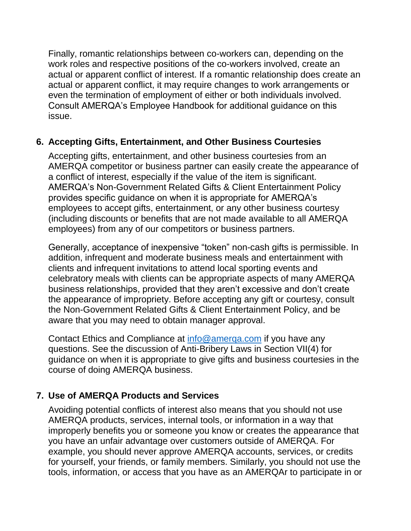Finally, romantic relationships between co-workers can, depending on the work roles and respective positions of the co-workers involved, create an actual or apparent conflict of interest. If a romantic relationship does create an actual or apparent conflict, it may require changes to work arrangements or even the termination of employment of either or both individuals involved. Consult AMERQA's Employee Handbook for additional guidance on this issue.

#### **6. Accepting Gifts, Entertainment, and Other Business Courtesies**

Accepting gifts, entertainment, and other business courtesies from an AMERQA competitor or business partner can easily create the appearance of a conflict of interest, especially if the value of the item is significant. AMERQA's Non-Government Related Gifts & Client Entertainment Policy provides specific guidance on when it is appropriate for AMERQA's employees to accept gifts, entertainment, or any other business courtesy (including discounts or benefits that are not made available to all AMERQA employees) from any of our competitors or business partners.

Generally, acceptance of inexpensive "token" non-cash gifts is permissible. In addition, infrequent and moderate business meals and entertainment with clients and infrequent invitations to attend local sporting events and celebratory meals with clients can be appropriate aspects of many AMERQA business relationships, provided that they aren't excessive and don't create the appearance of impropriety. Before accepting any gift or courtesy, consult the Non-Government Related Gifts & Client Entertainment Policy, and be aware that you may need to obtain manager approval.

Contact Ethics and Compliance at [info@amerqa.com](mailto:info@amerqa.com) if you have any questions. See the discussion of Anti-Bribery Laws in Section VII(4) for guidance on when it is appropriate to give gifts and business courtesies in the course of doing AMERQA business.

# **7. Use of AMERQA Products and Services**

Avoiding potential conflicts of interest also means that you should not use AMERQA products, services, internal tools, or information in a way that improperly benefits you or someone you know or creates the appearance that you have an unfair advantage over customers outside of AMERQA. For example, you should never approve AMERQA accounts, services, or credits for yourself, your friends, or family members. Similarly, you should not use the tools, information, or access that you have as an AMERQAr to participate in or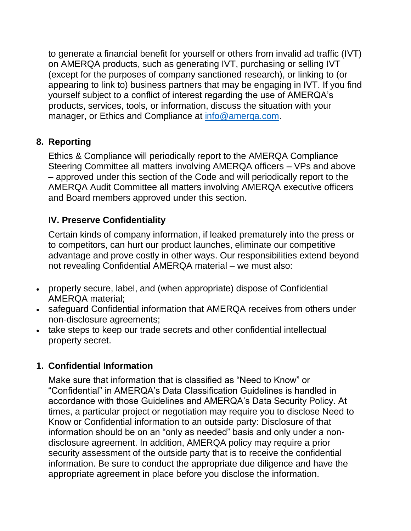to generate a financial benefit for yourself or others from invalid ad traffic (IVT) on AMERQA products, such as generating IVT, purchasing or selling IVT (except for the purposes of company sanctioned research), or linking to (or appearing to link to) business partners that may be engaging in IVT. If you find yourself subject to a conflict of interest regarding the use of AMERQA's products, services, tools, or information, discuss the situation with your manager, or Ethics and Compliance at [info@amerqa.com.](mailto:info@amerqa.com)

## **8. Reporting**

Ethics & Compliance will periodically report to the AMERQA Compliance Steering Committee all matters involving AMERQA officers – VPs and above – approved under this section of the Code and will periodically report to the AMERQA Audit Committee all matters involving AMERQA executive officers and Board members approved under this section.

# **IV. Preserve Confidentiality**

Certain kinds of company information, if leaked prematurely into the press or to competitors, can hurt our product launches, eliminate our competitive advantage and prove costly in other ways. Our responsibilities extend beyond not revealing Confidential AMERQA material – we must also:

- properly secure, label, and (when appropriate) dispose of Confidential AMERQA material;
- safeguard Confidential information that AMERQA receives from others under non-disclosure agreements;
- take steps to keep our trade secrets and other confidential intellectual property secret.

# **1. Confidential Information**

Make sure that information that is classified as "Need to Know" or "Confidential" in AMERQA's Data Classification Guidelines is handled in accordance with those Guidelines and AMERQA's Data Security Policy. At times, a particular project or negotiation may require you to disclose Need to Know or Confidential information to an outside party: Disclosure of that information should be on an "only as needed" basis and only under a nondisclosure agreement. In addition, AMERQA policy may require a prior security assessment of the outside party that is to receive the confidential information. Be sure to conduct the appropriate due diligence and have the appropriate agreement in place before you disclose the information.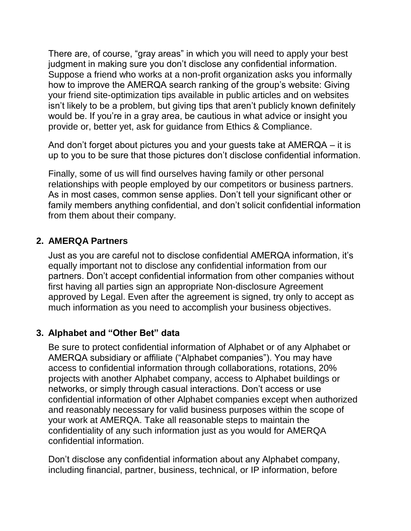There are, of course, "gray areas" in which you will need to apply your best judgment in making sure you don't disclose any confidential information. Suppose a friend who works at a non-profit organization asks you informally how to improve the AMERQA search ranking of the group's website: Giving your friend site-optimization tips available in public articles and on websites isn't likely to be a problem, but giving tips that aren't publicly known definitely would be. If you're in a gray area, be cautious in what advice or insight you provide or, better yet, ask for guidance from Ethics & Compliance.

And don't forget about pictures you and your guests take at AMERQA – it is up to you to be sure that those pictures don't disclose confidential information.

Finally, some of us will find ourselves having family or other personal relationships with people employed by our competitors or business partners. As in most cases, common sense applies. Don't tell your significant other or family members anything confidential, and don't solicit confidential information from them about their company.

#### **2. AMERQA Partners**

Just as you are careful not to disclose confidential AMERQA information, it's equally important not to disclose any confidential information from our partners. Don't accept confidential information from other companies without first having all parties sign an appropriate Non-disclosure Agreement approved by Legal. Even after the agreement is signed, try only to accept as much information as you need to accomplish your business objectives.

# **3. Alphabet and "Other Bet" data**

Be sure to protect confidential information of Alphabet or of any Alphabet or AMERQA subsidiary or affiliate ("Alphabet companies"). You may have access to confidential information through collaborations, rotations, 20% projects with another Alphabet company, access to Alphabet buildings or networks, or simply through casual interactions. Don't access or use confidential information of other Alphabet companies except when authorized and reasonably necessary for valid business purposes within the scope of your work at AMERQA. Take all reasonable steps to maintain the confidentiality of any such information just as you would for AMERQA confidential information.

Don't disclose any confidential information about any Alphabet company, including financial, partner, business, technical, or IP information, before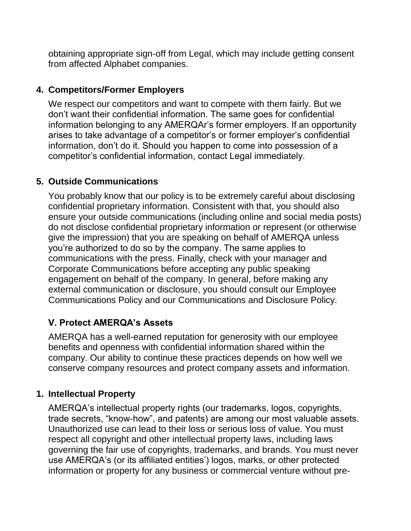obtaining appropriate sign-off from Legal, which may include getting consent from affected Alphabet companies.

#### **4. Competitors/Former Employers**

We respect our competitors and want to compete with them fairly. But we don't want their confidential information. The same goes for confidential information belonging to any AMERQAr's former employers. If an opportunity arises to take advantage of a competitor's or former employer's confidential information, don't do it. Should you happen to come into possession of a competitor's confidential information, contact Legal immediately.

# **5. Outside Communications**

You probably know that our policy is to be extremely careful about disclosing confidential proprietary information. Consistent with that, you should also ensure your outside communications (including online and social media posts) do not disclose confidential proprietary information or represent (or otherwise give the impression) that you are speaking on behalf of AMERQA unless you're authorized to do so by the company. The same applies to communications with the press. Finally, check with your manager and Corporate Communications before accepting any public speaking engagement on behalf of the company. In general, before making any external communication or disclosure, you should consult our Employee Communications Policy and our Communications and Disclosure Policy.

#### **V. Protect AMERQA's Assets**

AMERQA has a well-earned reputation for generosity with our employee benefits and openness with confidential information shared within the company. Our ability to continue these practices depends on how well we conserve company resources and protect company assets and information.

# **1. Intellectual Property**

AMERQA's intellectual property rights (our trademarks, logos, copyrights, trade secrets, "know-how", and patents) are among our most valuable assets. Unauthorized use can lead to their loss or serious loss of value. You must respect all copyright and other intellectual property laws, including laws governing the fair use of copyrights, trademarks, and brands. You must never use AMERQA's (or its affiliated entities') logos, marks, or other protected information or property for any business or commercial venture without pre-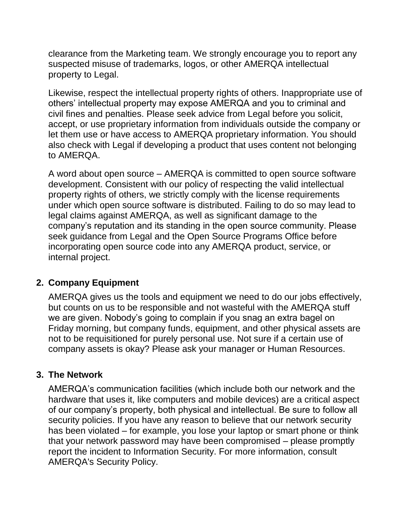clearance from the Marketing team. We strongly encourage you to report any suspected misuse of trademarks, logos, or other AMERQA intellectual property to Legal.

Likewise, respect the intellectual property rights of others. Inappropriate use of others' intellectual property may expose AMERQA and you to criminal and civil fines and penalties. Please seek advice from Legal before you solicit, accept, or use proprietary information from individuals outside the company or let them use or have access to AMERQA proprietary information. You should also check with Legal if developing a product that uses content not belonging to AMERQA.

A word about open source – AMERQA is committed to open source software development. Consistent with our policy of respecting the valid intellectual property rights of others, we strictly comply with the license requirements under which open source software is distributed. Failing to do so may lead to legal claims against AMERQA, as well as significant damage to the company's reputation and its standing in the open source community. Please seek guidance from Legal and the Open Source Programs Office before incorporating open source code into any AMERQA product, service, or internal project.

#### **2. Company Equipment**

AMERQA gives us the tools and equipment we need to do our jobs effectively, but counts on us to be responsible and not wasteful with the AMERQA stuff we are given. Nobody's going to complain if you snag an extra bagel on Friday morning, but company funds, equipment, and other physical assets are not to be requisitioned for purely personal use. Not sure if a certain use of company assets is okay? Please ask your manager or Human Resources.

#### **3. The Network**

AMERQA's communication facilities (which include both our network and the hardware that uses it, like computers and mobile devices) are a critical aspect of our company's property, both physical and intellectual. Be sure to follow all security policies. If you have any reason to believe that our network security has been violated – for example, you lose your laptop or smart phone or think that your network password may have been compromised – please promptly report the incident to Information Security. For more information, consult AMERQA's Security Policy.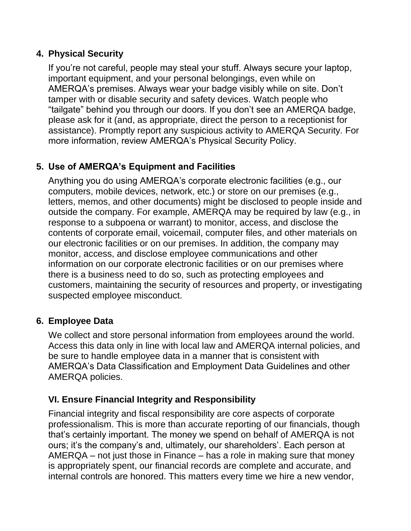#### **4. Physical Security**

If you're not careful, people may steal your stuff. Always secure your laptop, important equipment, and your personal belongings, even while on AMERQA's premises. Always wear your badge visibly while on site. Don't tamper with or disable security and safety devices. Watch people who "tailgate" behind you through our doors. If you don't see an AMERQA badge, please ask for it (and, as appropriate, direct the person to a receptionist for assistance). Promptly report any suspicious activity to AMERQA Security. For more information, review AMERQA's Physical Security Policy.

# **5. Use of AMERQA's Equipment and Facilities**

Anything you do using AMERQA's corporate electronic facilities (e.g., our computers, mobile devices, network, etc.) or store on our premises (e.g., letters, memos, and other documents) might be disclosed to people inside and outside the company. For example, AMERQA may be required by law (e.g., in response to a subpoena or warrant) to monitor, access, and disclose the contents of corporate email, voicemail, computer files, and other materials on our electronic facilities or on our premises. In addition, the company may monitor, access, and disclose employee communications and other information on our corporate electronic facilities or on our premises where there is a business need to do so, such as protecting employees and customers, maintaining the security of resources and property, or investigating suspected employee misconduct.

#### **6. Employee Data**

We collect and store personal information from employees around the world. Access this data only in line with local law and AMERQA internal policies, and be sure to handle employee data in a manner that is consistent with AMERQA's Data Classification and Employment Data Guidelines and other AMERQA policies.

#### **VI. Ensure Financial Integrity and Responsibility**

Financial integrity and fiscal responsibility are core aspects of corporate professionalism. This is more than accurate reporting of our financials, though that's certainly important. The money we spend on behalf of AMERQA is not ours; it's the company's and, ultimately, our shareholders'. Each person at AMERQA – not just those in Finance – has a role in making sure that money is appropriately spent, our financial records are complete and accurate, and internal controls are honored. This matters every time we hire a new vendor,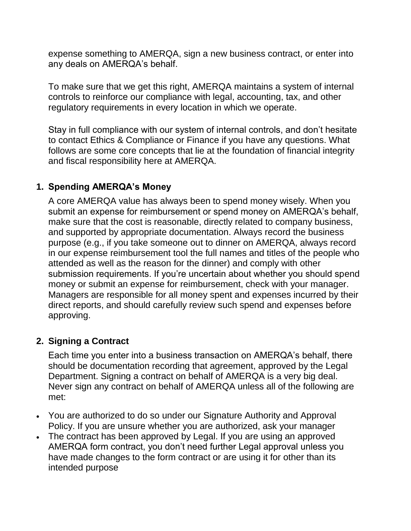expense something to AMERQA, sign a new business contract, or enter into any deals on AMERQA's behalf.

To make sure that we get this right, AMERQA maintains a system of internal controls to reinforce our compliance with legal, accounting, tax, and other regulatory requirements in every location in which we operate.

Stay in full compliance with our system of internal controls, and don't hesitate to contact Ethics & Compliance or Finance if you have any questions. What follows are some core concepts that lie at the foundation of financial integrity and fiscal responsibility here at AMERQA.

## **1. Spending AMERQA's Money**

A core AMERQA value has always been to spend money wisely. When you submit an expense for reimbursement or spend money on AMERQA's behalf, make sure that the cost is reasonable, directly related to company business, and supported by appropriate documentation. Always record the business purpose (e.g., if you take someone out to dinner on AMERQA, always record in our expense reimbursement tool the full names and titles of the people who attended as well as the reason for the dinner) and comply with other submission requirements. If you're uncertain about whether you should spend money or submit an expense for reimbursement, check with your manager. Managers are responsible for all money spent and expenses incurred by their direct reports, and should carefully review such spend and expenses before approving.

#### **2. Signing a Contract**

Each time you enter into a business transaction on AMERQA's behalf, there should be documentation recording that agreement, approved by the Legal Department. Signing a contract on behalf of AMERQA is a very big deal. Never sign any contract on behalf of AMERQA unless all of the following are met:

- You are authorized to do so under our Signature Authority and Approval Policy. If you are unsure whether you are authorized, ask your manager
- The contract has been approved by Legal. If you are using an approved AMERQA form contract, you don't need further Legal approval unless you have made changes to the form contract or are using it for other than its intended purpose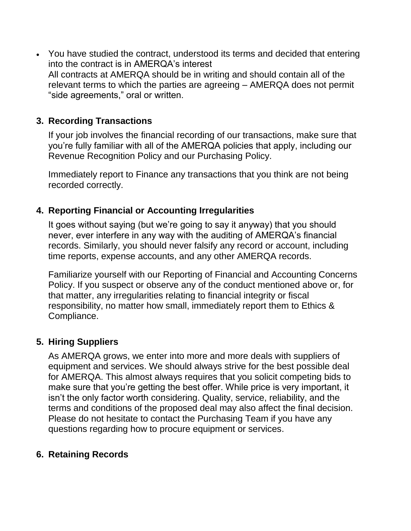• You have studied the contract, understood its terms and decided that entering into the contract is in AMERQA's interest All contracts at AMERQA should be in writing and should contain all of the relevant terms to which the parties are agreeing – AMERQA does not permit "side agreements," oral or written.

## **3. Recording Transactions**

If your job involves the financial recording of our transactions, make sure that you're fully familiar with all of the AMERQA policies that apply, including our Revenue Recognition Policy and our Purchasing Policy.

Immediately report to Finance any transactions that you think are not being recorded correctly.

#### **4. Reporting Financial or Accounting Irregularities**

It goes without saying (but we're going to say it anyway) that you should never, ever interfere in any way with the auditing of AMERQA's financial records. Similarly, you should never falsify any record or account, including time reports, expense accounts, and any other AMERQA records.

Familiarize yourself with our Reporting of Financial and Accounting Concerns Policy. If you suspect or observe any of the conduct mentioned above or, for that matter, any irregularities relating to financial integrity or fiscal responsibility, no matter how small, immediately report them to Ethics & Compliance.

# **5. Hiring Suppliers**

As AMERQA grows, we enter into more and more deals with suppliers of equipment and services. We should always strive for the best possible deal for AMERQA. This almost always requires that you solicit competing bids to make sure that you're getting the best offer. While price is very important, it isn't the only factor worth considering. Quality, service, reliability, and the terms and conditions of the proposed deal may also affect the final decision. Please do not hesitate to contact the Purchasing Team if you have any questions regarding how to procure equipment or services.

# **6. Retaining Records**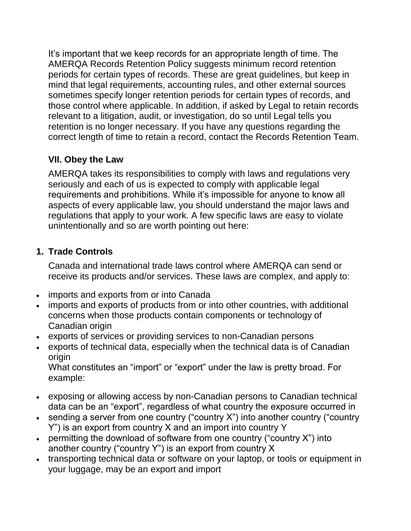It's important that we keep records for an appropriate length of time. The AMERQA Records Retention Policy suggests minimum record retention periods for certain types of records. These are great guidelines, but keep in mind that legal requirements, accounting rules, and other external sources sometimes specify longer retention periods for certain types of records, and those control where applicable. In addition, if asked by Legal to retain records relevant to a litigation, audit, or investigation, do so until Legal tells you retention is no longer necessary. If you have any questions regarding the correct length of time to retain a record, contact the Records Retention Team.

# **VII. Obey the Law**

AMERQA takes its responsibilities to comply with laws and regulations very seriously and each of us is expected to comply with applicable legal requirements and prohibitions. While it's impossible for anyone to know all aspects of every applicable law, you should understand the major laws and regulations that apply to your work. A few specific laws are easy to violate unintentionally and so are worth pointing out here:

## **1. Trade Controls**

Canada and international trade laws control where AMERQA can send or receive its products and/or services. These laws are complex, and apply to:

- imports and exports from or into Canada
- imports and exports of products from or into other countries, with additional concerns when those products contain components or technology of Canadian origin
- exports of services or providing services to non-Canadian persons
- exports of technical data, especially when the technical data is of Canadian origin

What constitutes an "import" or "export" under the law is pretty broad. For example:

- exposing or allowing access by non-Canadian persons to Canadian technical data can be an "export", regardless of what country the exposure occurred in
- sending a server from one country ("country X") into another country ("country Y") is an export from country X and an import into country Y
- permitting the download of software from one country ("country  $X$ ") into another country ("country Y") is an export from country X
- transporting technical data or software on your laptop, or tools or equipment in your luggage, may be an export and import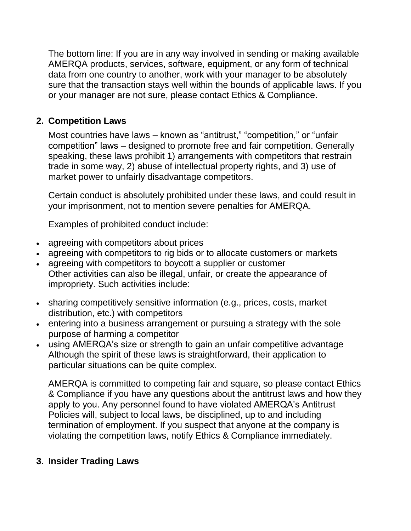The bottom line: If you are in any way involved in sending or making available AMERQA products, services, software, equipment, or any form of technical data from one country to another, work with your manager to be absolutely sure that the transaction stays well within the bounds of applicable laws. If you or your manager are not sure, please contact Ethics & Compliance.

## **2. Competition Laws**

Most countries have laws – known as "antitrust," "competition," or "unfair competition" laws – designed to promote free and fair competition. Generally speaking, these laws prohibit 1) arrangements with competitors that restrain trade in some way, 2) abuse of intellectual property rights, and 3) use of market power to unfairly disadvantage competitors.

Certain conduct is absolutely prohibited under these laws, and could result in your imprisonment, not to mention severe penalties for AMERQA.

Examples of prohibited conduct include:

- agreeing with competitors about prices
- agreeing with competitors to rig bids or to allocate customers or markets
- agreeing with competitors to boycott a supplier or customer Other activities can also be illegal, unfair, or create the appearance of impropriety. Such activities include:
- sharing competitively sensitive information (e.g., prices, costs, market distribution, etc.) with competitors
- entering into a business arrangement or pursuing a strategy with the sole purpose of harming a competitor
- using AMERQA's size or strength to gain an unfair competitive advantage Although the spirit of these laws is straightforward, their application to particular situations can be quite complex.

AMERQA is committed to competing fair and square, so please contact Ethics & Compliance if you have any questions about the antitrust laws and how they apply to you. Any personnel found to have violated AMERQA's Antitrust Policies will, subject to local laws, be disciplined, up to and including termination of employment. If you suspect that anyone at the company is violating the competition laws, notify Ethics & Compliance immediately.

#### **3. Insider Trading Laws**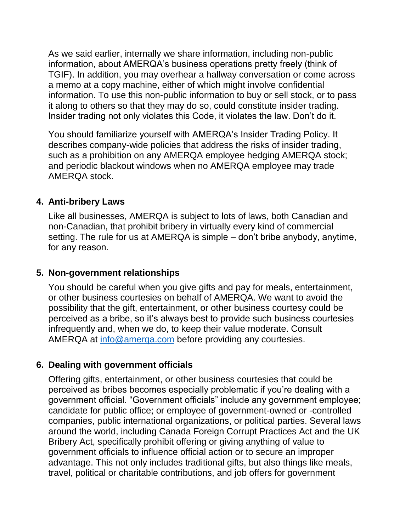As we said earlier, internally we share information, including non-public information, about AMERQA's business operations pretty freely (think of TGIF). In addition, you may overhear a hallway conversation or come across a memo at a copy machine, either of which might involve confidential information. To use this non-public information to buy or sell stock, or to pass it along to others so that they may do so, could constitute insider trading. Insider trading not only violates this Code, it violates the law. Don't do it.

You should familiarize yourself with AMERQA's Insider Trading Policy. It describes company-wide policies that address the risks of insider trading, such as a prohibition on any AMERQA employee hedging AMERQA stock; and periodic blackout windows when no AMERQA employee may trade AMERQA stock.

#### **4. Anti-bribery Laws**

Like all businesses, AMERQA is subject to lots of laws, both Canadian and non-Canadian, that prohibit bribery in virtually every kind of commercial setting. The rule for us at AMERQA is simple – don't bribe anybody, anytime, for any reason.

#### **5. Non-government relationships**

You should be careful when you give gifts and pay for meals, entertainment, or other business courtesies on behalf of AMERQA. We want to avoid the possibility that the gift, entertainment, or other business courtesy could be perceived as a bribe, so it's always best to provide such business courtesies infrequently and, when we do, to keep their value moderate. Consult AMERQA at [info@amerqa.com](mailto:info@amerqa.com) before providing any courtesies.

#### **6. Dealing with government officials**

Offering gifts, entertainment, or other business courtesies that could be perceived as bribes becomes especially problematic if you're dealing with a government official. "Government officials" include any government employee; candidate for public office; or employee of government-owned or -controlled companies, public international organizations, or political parties. Several laws around the world, including Canada Foreign Corrupt Practices Act and the UK Bribery Act, specifically prohibit offering or giving anything of value to government officials to influence official action or to secure an improper advantage. This not only includes traditional gifts, but also things like meals, travel, political or charitable contributions, and job offers for government